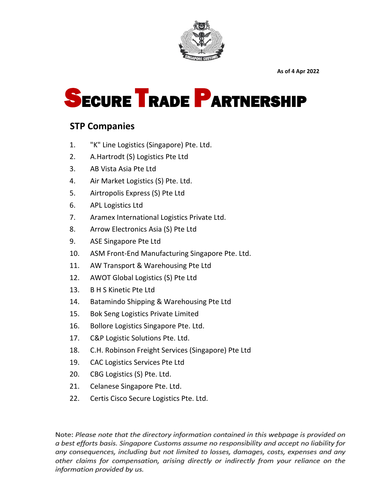

# SECURE TRADE PARTNERSHIP

### **STP Companies**

- 1. "K" Line Logistics (Singapore) Pte. Ltd.
- 2. A.Hartrodt (S) Logistics Pte Ltd
- 3. AB Vista Asia Pte Ltd
- 4. Air Market Logistics (S) Pte. Ltd.
- 5. Airtropolis Express (S) Pte Ltd
- 6. APL Logistics Ltd
- 7. Aramex International Logistics Private Ltd.
- 8. Arrow Electronics Asia (S) Pte Ltd
- 9. ASE Singapore Pte Ltd
- 10. ASM Front-End Manufacturing Singapore Pte. Ltd.
- 11. AW Transport & Warehousing Pte Ltd
- 12. AWOT Global Logistics (S) Pte Ltd
- 13. B H S Kinetic Pte Ltd
- 14. Batamindo Shipping & Warehousing Pte Ltd
- 15. Bok Seng Logistics Private Limited
- 16. Bollore Logistics Singapore Pte. Ltd.
- 17. C&P Logistic Solutions Pte. Ltd.
- 18. C.H. Robinson Freight Services (Singapore) Pte Ltd
- 19. CAC Logistics Services Pte Ltd
- 20. CBG Logistics (S) Pte. Ltd.
- 21. Celanese Singapore Pte. Ltd.
- 22. Certis Cisco Secure Logistics Pte. Ltd.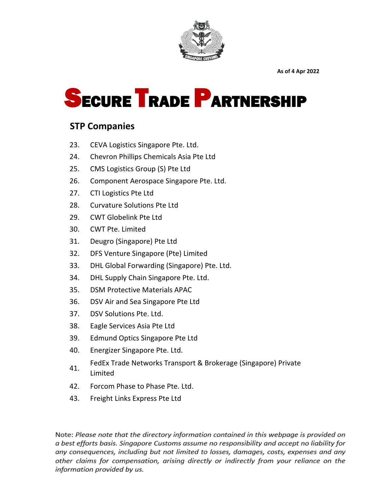

# SECURE TRADE PARTNERSHIP

### **STP Companies**

- 23. CEVA Logistics Singapore Pte. Ltd.
- 24. Chevron Phillips Chemicals Asia Pte Ltd
- 25. CMS Logistics Group (S) Pte Ltd
- 26. Component Aerospace Singapore Pte. Ltd.
- 27. CTI Logistics Pte Ltd
- 28. Curvature Solutions Pte Ltd
- 29. CWT Globelink Pte Ltd
- 30. CWT Pte. Limited
- 31. Deugro (Singapore) Pte Ltd
- 32. DFS Venture Singapore (Pte) Limited
- 33. DHL Global Forwarding (Singapore) Pte. Ltd.
- 34. DHL Supply Chain Singapore Pte. Ltd.
- 35. DSM Protective Materials APAC
- 36. DSV Air and Sea Singapore Pte Ltd
- 37. DSV Solutions Pte. Ltd.
- 38. Eagle Services Asia Pte Ltd
- 39. Edmund Optics Singapore Pte Ltd
- 40. Energizer Singapore Pte. Ltd.
- 41. FedEx Trade Networks Transport & Brokerage (Singapore) Private Limited
- 42. Forcom Phase to Phase Pte. Ltd.
- 43. Freight Links Express Pte Ltd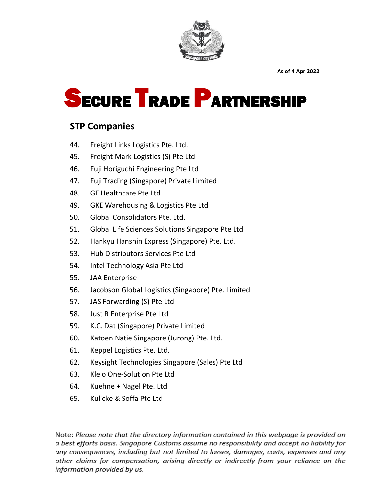

# SECURE TRADE PARTNERSHIP

### **STP Companies**

- 44. Freight Links Logistics Pte. Ltd.
- 45. Freight Mark Logistics (S) Pte Ltd
- 46. Fuji Horiguchi Engineering Pte Ltd
- 47. Fuji Trading (Singapore) Private Limited
- 48. GE Healthcare Pte Ltd
- 49. GKE Warehousing & Logistics Pte Ltd
- 50. Global Consolidators Pte. Ltd.
- 51. Global Life Sciences Solutions Singapore Pte Ltd
- 52. Hankyu Hanshin Express (Singapore) Pte. Ltd.
- 53. Hub Distributors Services Pte Ltd
- 54. Intel Technology Asia Pte Ltd
- 55. JAA Enterprise
- 56. Jacobson Global Logistics (Singapore) Pte. Limited
- 57. JAS Forwarding (S) Pte Ltd
- 58. Just R Enterprise Pte Ltd
- 59. K.C. Dat (Singapore) Private Limited
- 60. Katoen Natie Singapore (Jurong) Pte. Ltd.
- 61. Keppel Logistics Pte. Ltd.
- 62. Keysight Technologies Singapore (Sales) Pte Ltd
- 63. Kleio One-Solution Pte Ltd
- 64. Kuehne + Nagel Pte. Ltd.
- 65. Kulicke & Soffa Pte Ltd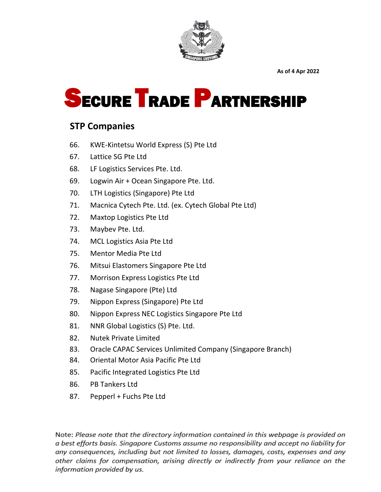

# SECURE TRADE PARTNERSHIP

#### **STP Companies**

- 66. KWE-Kintetsu World Express (S) Pte Ltd
- 67. Lattice SG Pte Ltd
- 68. LF Logistics Services Pte. Ltd.
- 69. Logwin Air + Ocean Singapore Pte. Ltd.
- 70. LTH Logistics (Singapore) Pte Ltd
- 71. Macnica Cytech Pte. Ltd. (ex. Cytech Global Pte Ltd)
- 72. Maxtop Logistics Pte Ltd
- 73. Maybev Pte. Ltd.
- 74. MCL Logistics Asia Pte Ltd
- 75. Mentor Media Pte Ltd
- 76. Mitsui Elastomers Singapore Pte Ltd
- 77. Morrison Express Logistics Pte Ltd
- 78. Nagase Singapore (Pte) Ltd
- 79. Nippon Express (Singapore) Pte Ltd
- 80. Nippon Express NEC Logistics Singapore Pte Ltd
- 81. NNR Global Logistics (S) Pte. Ltd.
- 82. Nutek Private Limited
- 83. Oracle CAPAC Services Unlimited Company (Singapore Branch)
- 84. Oriental Motor Asia Pacific Pte Ltd
- 85. Pacific Integrated Logistics Pte Ltd
- 86. PB Tankers Ltd
- 87. Pepperl + Fuchs Pte Ltd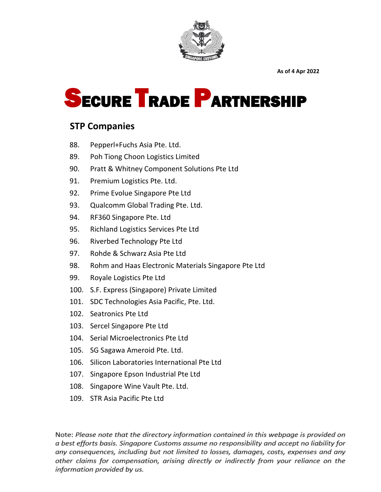

# SECURE TRADE PARTNERSHIP

#### **STP Companies**

- 88. Pepperl+Fuchs Asia Pte. Ltd.
- 89. Poh Tiong Choon Logistics Limited
- 90. Pratt & Whitney Component Solutions Pte Ltd
- 91. Premium Logistics Pte. Ltd.
- 92. Prime Evolue Singapore Pte Ltd
- 93. Qualcomm Global Trading Pte. Ltd.
- 94. RF360 Singapore Pte. Ltd
- 95. Richland Logistics Services Pte Ltd
- 96. Riverbed Technology Pte Ltd
- 97. Rohde & Schwarz Asia Pte Ltd
- 98. Rohm and Haas Electronic Materials Singapore Pte Ltd
- 99. Royale Logistics Pte Ltd
- 100. S.F. Express (Singapore) Private Limited
- 101. SDC Technologies Asia Pacific, Pte. Ltd.
- 102. Seatronics Pte Ltd
- 103. Sercel Singapore Pte Ltd
- 104. Serial Microelectronics Pte Ltd
- 105. SG Sagawa Ameroid Pte. Ltd.
- 106. Silicon Laboratories International Pte Ltd
- 107. Singapore Epson Industrial Pte Ltd
- 108. Singapore Wine Vault Pte. Ltd.
- 109. STR Asia Pacific Pte Ltd